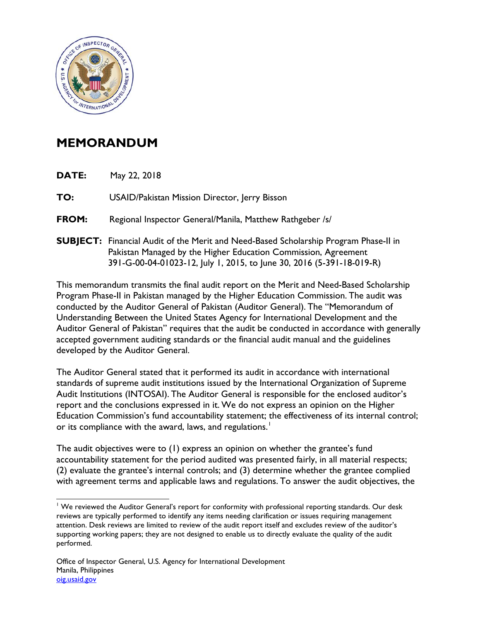

## **MEMORANDUM**

**DATE:** May 22, 2018

**TO:** USAID/Pakistan Mission Director, Jerry Bisson

- **FROM:** Regional Inspector General/Manila, Matthew Rathgeber /s/
- **SUBJECT:** Financial Audit of the Merit and Need-Based Scholarship Program Phase-II in Pakistan Managed by the Higher Education Commission, Agreement 391-G-00-04-01023-12, July 1, 2015, to June 30, 2016 (5-391-18-019-R)

This memorandum transmits the final audit report on the Merit and Need-Based Scholarship Program Phase-II in Pakistan managed by the Higher Education Commission. The audit was conducted by the Auditor General of Pakistan (Auditor General). The "Memorandum of Understanding Between the United States Agency for International Development and the Auditor General of Pakistan" requires that the audit be conducted in accordance with generally accepted government auditing standards or the financial audit manual and the guidelines developed by the Auditor General.

The Auditor General stated that it performed its audit in accordance with international standards of supreme audit institutions issued by the International Organization of Supreme Audit Institutions (INTOSAI). The Auditor General is responsible for the enclosed auditor's report and the conclusions expressed in it. We do not express an opinion on the Higher Education Commission's fund accountability statement; the effectiveness of its internal control; or its compliance with the award, laws, and regulations.<sup>[1](#page-0-0)</sup>

The audit objectives were to (1) express an opinion on whether the grantee's fund accountability statement for the period audited was presented fairly, in all material respects; (2) evaluate the grantee's internal controls; and (3) determine whether the grantee complied with agreement terms and applicable laws and regulations. To answer the audit objectives, the

<span id="page-0-0"></span><sup>&</sup>lt;sup>1</sup> We reviewed the Auditor General's report for conformity with professional reporting standards. Our desk reviews are typically performed to identify any items needing clarification or issues requiring management attention. Desk reviews are limited to review of the audit report itself and excludes review of the auditor's supporting working papers; they are not designed to enable us to directly evaluate the quality of the audit performed.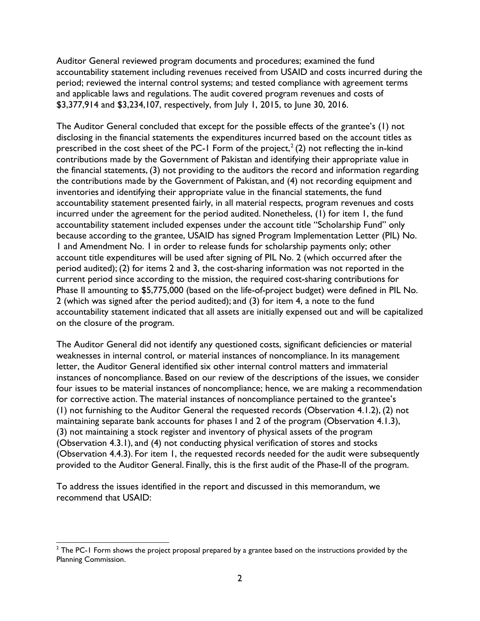Auditor General reviewed program documents and procedures; examined the fund accountability statement including revenues received from USAID and costs incurred during the period; reviewed the internal control systems; and tested compliance with agreement terms and applicable laws and regulations. The audit covered program revenues and costs of \$3,377,914 and \$3,234,107, respectively, from July 1, 2015, to June 30, 2016.

The Auditor General concluded that except for the possible effects of the grantee's (1) not disclosing in the financial statements the expenditures incurred based on the account titles as prescribed in the cost sheet of the PC-1 Form of the project,<sup>[2](#page-1-0)</sup> (2) not reflecting the in-kind contributions made by the Government of Pakistan and identifying their appropriate value in the financial statements, (3) not providing to the auditors the record and information regarding the contributions made by the Government of Pakistan, and (4) not recording equipment and inventories and identifying their appropriate value in the financial statements, the fund accountability statement presented fairly, in all material respects, program revenues and costs incurred under the agreement for the period audited. Nonetheless, (1) for item 1, the fund accountability statement included expenses under the account title "Scholarship Fund" only because according to the grantee, USAID has signed Program Implementation Letter (PIL) No. 1 and Amendment No. 1 in order to release funds for scholarship payments only; other account title expenditures will be used after signing of PIL No. 2 (which occurred after the period audited); (2) for items 2 and 3, the cost-sharing information was not reported in the current period since according to the mission, the required cost-sharing contributions for Phase II amounting to \$5,775,000 (based on the life-of-project budget) were defined in PIL No. 2 (which was signed after the period audited); and (3) for item 4, a note to the fund accountability statement indicated that all assets are initially expensed out and will be capitalized on the closure of the program.

The Auditor General did not identify any questioned costs, significant deficiencies or material weaknesses in internal control, or material instances of noncompliance. In its management letter, the Auditor General identified six other internal control matters and immaterial instances of noncompliance. Based on our review of the descriptions of the issues, we consider four issues to be material instances of noncompliance; hence, we are making a recommendation for corrective action. The material instances of noncompliance pertained to the grantee's (1) not furnishing to the Auditor General the requested records (Observation 4.1.2), (2) not maintaining separate bank accounts for phases I and 2 of the program (Observation 4.1.3), (3) not maintaining a stock register and inventory of physical assets of the program (Observation 4.3.1), and (4) not conducting physical verification of stores and stocks (Observation 4.4.3). For item 1, the requested records needed for the audit were subsequently provided to the Auditor General. Finally, this is the first audit of the Phase-II of the program.

To address the issues identified in the report and discussed in this memorandum, we recommend that USAID:

<span id="page-1-0"></span><sup>&</sup>lt;sup>2</sup> The PC-1 Form shows the project proposal prepared by a grantee based on the instructions provided by the Planning Commission.